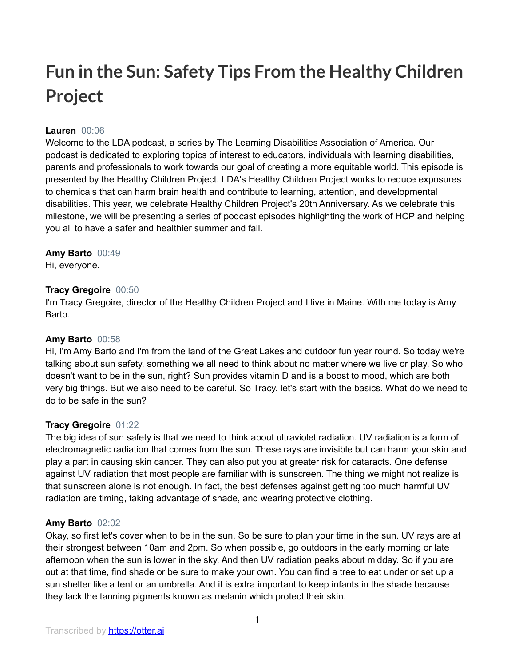# **Fun in the Sun: Safety Tips From the Healthy Children Project**

# **Lauren** 00:06

Welcome to the LDA podcast, a series by The Learning Disabilities Association of America. Our podcast is dedicated to exploring topics of interest to educators, individuals with learning disabilities, parents and professionals to work towards our goal of creating a more equitable world. This episode is presented by the Healthy Children Project. LDA's Healthy Children Project works to reduce exposures to chemicals that can harm brain health and contribute to learning, attention, and developmental disabilities. This year, we celebrate Healthy Children Project's 20th Anniversary. As we celebrate this milestone, we will be presenting a series of podcast episodes highlighting the work of HCP and helping you all to have a safer and healthier summer and fall.

## **Amy Barto** 00:49

Hi, everyone.

# **Tracy Gregoire** 00:50

I'm Tracy Gregoire, director of the Healthy Children Project and I live in Maine. With me today is Amy Barto.

## **Amy Barto** 00:58

Hi, I'm Amy Barto and I'm from the land of the Great Lakes and outdoor fun year round. So today we're talking about sun safety, something we all need to think about no matter where we live or play. So who doesn't want to be in the sun, right? Sun provides vitamin D and is a boost to mood, which are both very big things. But we also need to be careful. So Tracy, let's start with the basics. What do we need to do to be safe in the sun?

# **Tracy Gregoire** 01:22

The big idea of sun safety is that we need to think about ultraviolet radiation. UV radiation is a form of electromagnetic radiation that comes from the sun. These rays are invisible but can harm your skin and play a part in causing skin cancer. They can also put you at greater risk for cataracts. One defense against UV radiation that most people are familiar with is sunscreen. The thing we might not realize is that sunscreen alone is not enough. In fact, the best defenses against getting too much harmful UV radiation are timing, taking advantage of shade, and wearing protective clothing.

## **Amy Barto** 02:02

Okay, so first let's cover when to be in the sun. So be sure to plan your time in the sun. UV rays are at their strongest between 10am and 2pm. So when possible, go outdoors in the early morning or late afternoon when the sun is lower in the sky. And then UV radiation peaks about midday. So if you are out at that time, find shade or be sure to make your own. You can find a tree to eat under or set up a sun shelter like a tent or an umbrella. And it is extra important to keep infants in the shade because they lack the tanning pigments known as melanin which protect their skin.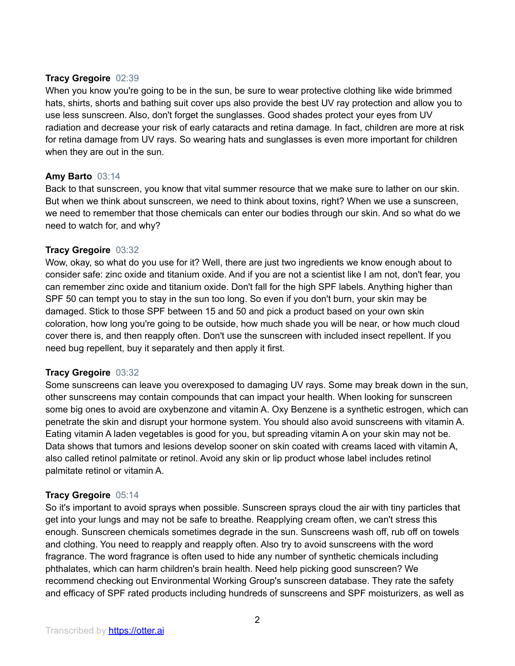## **Tracy Gregoire** 02:39

When you know you're going to be in the sun, be sure to wear protective clothing like wide brimmed hats, shirts, shorts and bathing suit cover ups also provide the best UV ray protection and allow you to use less sunscreen. Also, don't forget the sunglasses. Good shades protect your eyes from UV radiation and decrease your risk of early cataracts and retina damage. In fact, children are more at risk for retina damage from UV rays. So wearing hats and sunglasses is even more important for children when they are out in the sun.

# **Amy Barto** 03:14

Back to that sunscreen, you know that vital summer resource that we make sure to lather on our skin. But when we think about sunscreen, we need to think about toxins, right? When we use a sunscreen, we need to remember that those chemicals can enter our bodies through our skin. And so what do we need to watch for, and why?

# **Tracy Gregoire** 03:32

Wow, okay, so what do you use for it? Well, there are just two ingredients we know enough about to consider safe: zinc oxide and titanium oxide. And if you are not a scientist like I am not, don't fear, you can remember zinc oxide and titanium oxide. Don't fall for the high SPF labels. Anything higher than SPF 50 can tempt you to stay in the sun too long. So even if you don't burn, your skin may be damaged. Stick to those SPF between 15 and 50 and pick a product based on your own skin coloration, how long you're going to be outside, how much shade you will be near, or how much cloud cover there is, and then reapply often. Don't use the sunscreen with included insect repellent. If you need bug repellent, buy it separately and then apply it first.

## **Tracy Gregoire** 03:32

Some sunscreens can leave you overexposed to damaging UV rays. Some may break down in the sun, other sunscreens may contain compounds that can impact your health. When looking for sunscreen some big ones to avoid are oxybenzone and vitamin A. Oxy Benzene is a synthetic estrogen, which can penetrate the skin and disrupt your hormone system. You should also avoid sunscreens with vitamin A. Eating vitamin A laden vegetables is good for you, but spreading vitamin A on your skin may not be. Data shows that tumors and lesions develop sooner on skin coated with creams laced with vitamin A, also called retinol palmitate or retinol. Avoid any skin or lip product whose label includes retinol palmitate retinol or vitamin A.

# **Tracy Gregoire** 05:14

So it's important to avoid sprays when possible. Sunscreen sprays cloud the air with tiny particles that get into your lungs and may not be safe to breathe. Reapplying cream often, we can't stress this enough. Sunscreen chemicals sometimes degrade in the sun. Sunscreens wash off, rub off on towels and clothing. You need to reapply and reapply often. Also try to avoid sunscreens with the word fragrance. The word fragrance is often used to hide any number of synthetic chemicals including phthalates, which can harm children's brain health. Need help picking good sunscreen? We recommend checking out Environmental Working Group's sunscreen database. They rate the safety and efficacy of SPF rated products including hundreds of sunscreens and SPF moisturizers, as well as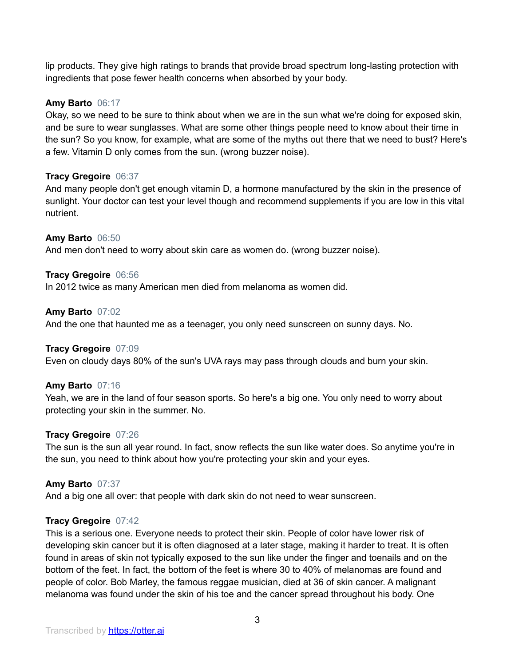lip products. They give high ratings to brands that provide broad spectrum long-lasting protection with ingredients that pose fewer health concerns when absorbed by your body.

### **Amy Barto** 06:17

Okay, so we need to be sure to think about when we are in the sun what we're doing for exposed skin, and be sure to wear sunglasses. What are some other things people need to know about their time in the sun? So you know, for example, what are some of the myths out there that we need to bust? Here's a few. Vitamin D only comes from the sun. (wrong buzzer noise).

#### **Tracy Gregoire** 06:37

And many people don't get enough vitamin D, a hormone manufactured by the skin in the presence of sunlight. Your doctor can test your level though and recommend supplements if you are low in this vital nutrient.

#### **Amy Barto** 06:50

And men don't need to worry about skin care as women do. (wrong buzzer noise).

#### **Tracy Gregoire** 06:56

In 2012 twice as many American men died from melanoma as women did.

#### **Amy Barto** 07:02

And the one that haunted me as a teenager, you only need sunscreen on sunny days. No.

#### **Tracy Gregoire** 07:09

Even on cloudy days 80% of the sun's UVA rays may pass through clouds and burn your skin.

#### **Amy Barto** 07:16

Yeah, we are in the land of four season sports. So here's a big one. You only need to worry about protecting your skin in the summer. No.

#### **Tracy Gregoire** 07:26

The sun is the sun all year round. In fact, snow reflects the sun like water does. So anytime you're in the sun, you need to think about how you're protecting your skin and your eyes.

#### **Amy Barto** 07:37

And a big one all over: that people with dark skin do not need to wear sunscreen.

#### **Tracy Gregoire** 07:42

This is a serious one. Everyone needs to protect their skin. People of color have lower risk of developing skin cancer but it is often diagnosed at a later stage, making it harder to treat. It is often found in areas of skin not typically exposed to the sun like under the finger and toenails and on the bottom of the feet. In fact, the bottom of the feet is where 30 to 40% of melanomas are found and people of color. Bob Marley, the famous reggae musician, died at 36 of skin cancer. A malignant melanoma was found under the skin of his toe and the cancer spread throughout his body. One